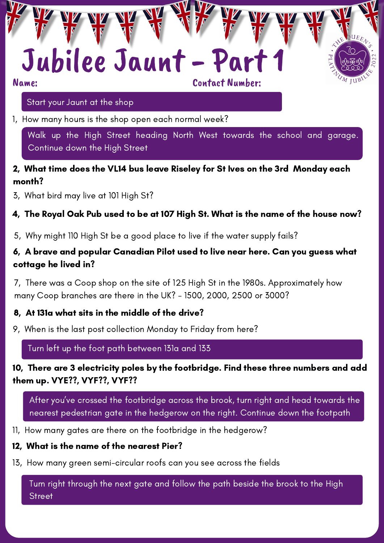# Jubilee Jaunt - Part

Contact Number:

#### Start your Jaunt at the shop

1, How many hours is the shop open each normal week?

Walk up the High Street heading North West towards the school and garage. Continue down the High Street

#### 2, What time does the VL14 bus leave Riseley for St Ives on the 3rd Monday each month?

3, What bird may live at 101 High St?

#### 4, The Royal Oak Pub used to be at 107 High St. What is the name of the house now?

5, Why might 110 High St be a good place to live if the water supply fails?

#### 6, A brave and popular Canadian Pilot used to live near here. Can you guess what cottage he lived in?

7, There was a Coop shop on the site of 125 High St in the 1980s. Approximately how many Coop branches are there in the UK? - 1500, 2000, 2500 or 3000?

#### 8, At 131a what sits in the middle of the drive?

9, When is the last post collection Monday to Friday from here?

Turn left up the foot path between 131a and 133

#### 10, There are 3 electricity poles by the footbridge. Find these three numbers and add them up. VYE??, VYF??, VYF??

After you've crossed the footbridge across the brook, turn right and head towards the nearest pedestrian gate in the hedgerow on the right. Continue down the footpath

11, How many gates are there on the footbridge in the hedgerow?

#### 12, What is the name of the nearest Pier?

13, How many green semi-circular roofs can you see across the fields

Turn right through the next gate and follow the path beside the brook to the High **Street**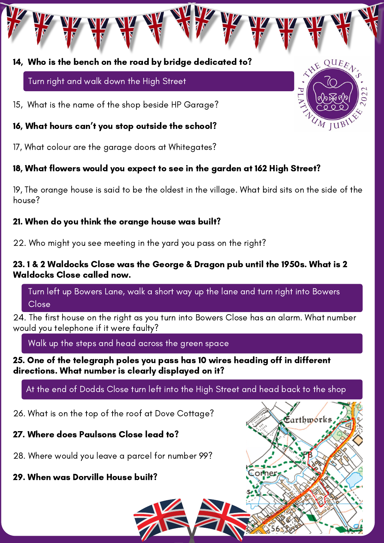#### 14, Who is the bench on the road by bridge dedicated to?

Turn right and walk down the High Street

15, What is the name of the shop beside HP Garage?

16, What hours can't you stop outside the school?

17, What colour are the garage doors at Whitegates?

### 18, What flowers would you expect to see in the garden at 162 High Street?

19, The orange house is said to be the oldest in the village. What bird sits on the side of the house?

#### 21. When do you think the orange house was built?

22. Who might you see meeting in the yard you pass on the right?

#### 23. 1 & 2 Waldocks Close was the George & Dragon pub until the 1950s. What is 2 Waldocks Close called now.

Turn left up Bowers Lane, walk a short way up the lane and turn right into Bowers Close

24. The first house on the right as you turn into Bowers Close has an alarm. What number would you telephone if it were faulty?

Walk up the steps and head across the green space

25. One of the telegraph poles you pass has 10 wires heading off in different directions. What number is clearly displayed on it?

At the end of Dodds Close turn left into the High Street and head back to the shop

26. What is on the top of the roof at Dove Cottage?

#### 27. Where does Paulsons Close lead to?

28. Where would you leave a parcel for number 99?

### 29. When was Dorville House built?





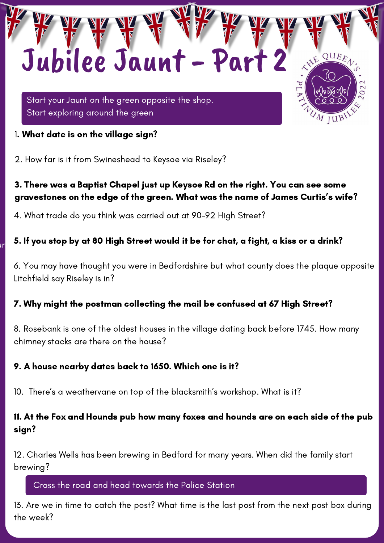Start your Jaunt on the green opposite the shop. Start exploring around the green

Jubilee Jaunt - Part 2

1. What date is on the village sign?

2. How far is it from Swineshead to Keysoe via Riseley?

## 3. There was a Baptist Chapel just up Keysoe Rd on the right. You can see some gravestones on the edge of the green. What was the name of James Curtis's wife?

 $QUE_{E_{A}}$ 

M JUB

4. What trade do you think was carried out at 90-92 High Street?

#### $\mathbf{u}_r$  b. If you stop by at our fight bireer would Walk down the High Street heading South East towards the pub and playing fields on the you stop by at our than or 5. If you stop by at 80 High Street would it be for chat, a fight, a kiss or a drink?

6. You may have thought you were in Bedfordshire but what county does the plaque opposite Litchfield say Riseley is in?

#### 7. Why might the postman collecting the mail be confused at 67 High Street?

8. Rosebank is one of the oldest houses in the village dating back before 1745. How many chimney stacks are there on the house?

#### 9. A house nearby dates back to 1650. Which one is it?

10. There's a weathervane on top of the blacksmith's workshop. What is it?

### 11. At the Fox and Hounds pub how many foxes and hounds are on each side of the pub sign?

12. Charles Wells has been brewing in Bedford for many years. When did the family start brewing?

#### Cross the road and head towards the Police Station

13. Are we in time to catch the post? What time is the last post from the next post box during the week?